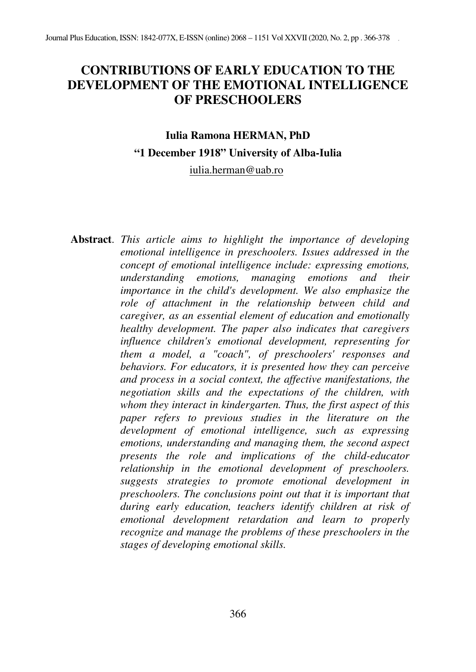# **CONTRIBUTIONS OF EARLY EDUCATION TO THE DEVELOPMENT OF THE EMOTIONAL INTELLIGENCE OF PRESCHOOLERS**

# **Iulia Ramona HERMAN, PhD "1 December 1918" University of Alba-Iulia**  iulia.herman@uab.ro

**Abstract**. *This article aims to highlight the importance of developing emotional intelligence in preschoolers. Issues addressed in the concept of emotional intelligence include: expressing emotions, understanding emotions, managing emotions and their importance in the child's development. We also emphasize the role of attachment in the relationship between child and caregiver, as an essential element of education and emotionally healthy development. The paper also indicates that caregivers influence children's emotional development, representing for them a model, a "coach", of preschoolers' responses and behaviors. For educators, it is presented how they can perceive and process in a social context, the affective manifestations, the negotiation skills and the expectations of the children, with whom they interact in kindergarten. Thus, the first aspect of this paper refers to previous studies in the literature on the development of emotional intelligence, such as expressing emotions, understanding and managing them, the second aspect presents the role and implications of the child-educator relationship in the emotional development of preschoolers. suggests strategies to promote emotional development in preschoolers. The conclusions point out that it is important that during early education, teachers identify children at risk of emotional development retardation and learn to properly recognize and manage the problems of these preschoolers in the stages of developing emotional skills.*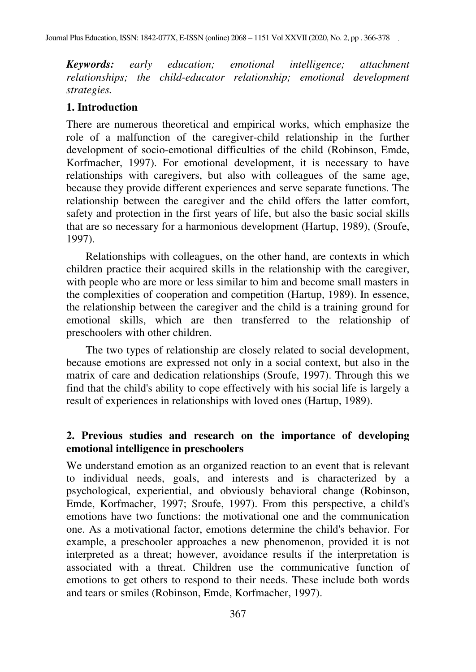*Keywords: early education; emotional intelligence; attachment relationships; the child-educator relationship; emotional development strategies.* 

## **1. Introduction**

There are numerous theoretical and empirical works, which emphasize the role of a malfunction of the caregiver-child relationship in the further development of socio-emotional difficulties of the child (Robinson, Emde, Korfmacher, 1997). For emotional development, it is necessary to have relationships with caregivers, but also with colleagues of the same age, because they provide different experiences and serve separate functions. The relationship between the caregiver and the child offers the latter comfort, safety and protection in the first years of life, but also the basic social skills that are so necessary for a harmonious development (Hartup, 1989), (Sroufe, 1997).

Relationships with colleagues, on the other hand, are contexts in which children practice their acquired skills in the relationship with the caregiver, with people who are more or less similar to him and become small masters in the complexities of cooperation and competition (Hartup, 1989). In essence, the relationship between the caregiver and the child is a training ground for emotional skills, which are then transferred to the relationship of preschoolers with other children.

The two types of relationship are closely related to social development, because emotions are expressed not only in a social context, but also in the matrix of care and dedication relationships (Sroufe, 1997). Through this we find that the child's ability to cope effectively with his social life is largely a result of experiences in relationships with loved ones (Hartup, 1989).

## **2. Previous studies and research on the importance of developing emotional intelligence in preschoolers**

We understand emotion as an organized reaction to an event that is relevant to individual needs, goals, and interests and is characterized by a psychological, experiential, and obviously behavioral change (Robinson, Emde, Korfmacher, 1997; Sroufe, 1997). From this perspective, a child's emotions have two functions: the motivational one and the communication one. As a motivational factor, emotions determine the child's behavior. For example, a preschooler approaches a new phenomenon, provided it is not interpreted as a threat; however, avoidance results if the interpretation is associated with a threat. Children use the communicative function of emotions to get others to respond to their needs. These include both words and tears or smiles (Robinson, Emde, Korfmacher, 1997).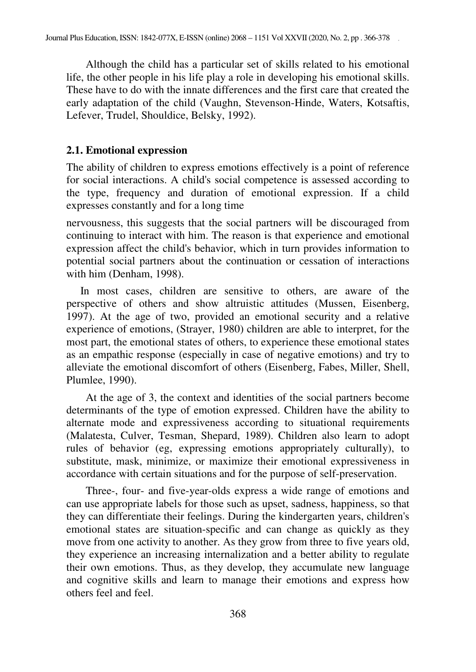Although the child has a particular set of skills related to his emotional life, the other people in his life play a role in developing his emotional skills. These have to do with the innate differences and the first care that created the early adaptation of the child (Vaughn, Stevenson-Hinde, Waters, Kotsaftis, Lefever, Trudel, Shouldice, Belsky, 1992).

#### **2.1. Emotional expression**

The ability of children to express emotions effectively is a point of reference for social interactions. A child's social competence is assessed according to the type, frequency and duration of emotional expression. If a child expresses constantly and for a long time

nervousness, this suggests that the social partners will be discouraged from continuing to interact with him. The reason is that experience and emotional expression affect the child's behavior, which in turn provides information to potential social partners about the continuation or cessation of interactions with him (Denham, 1998).

 In most cases, children are sensitive to others, are aware of the perspective of others and show altruistic attitudes (Mussen, Eisenberg, 1997). At the age of two, provided an emotional security and a relative experience of emotions, (Strayer, 1980) children are able to interpret, for the most part, the emotional states of others, to experience these emotional states as an empathic response (especially in case of negative emotions) and try to alleviate the emotional discomfort of others (Eisenberg, Fabes, Miller, Shell, Plumlee, 1990).

At the age of 3, the context and identities of the social partners become determinants of the type of emotion expressed. Children have the ability to alternate mode and expressiveness according to situational requirements (Malatesta, Culver, Tesman, Shepard, 1989). Children also learn to adopt rules of behavior (eg, expressing emotions appropriately culturally), to substitute, mask, minimize, or maximize their emotional expressiveness in accordance with certain situations and for the purpose of self-preservation.

Three-, four- and five-year-olds express a wide range of emotions and can use appropriate labels for those such as upset, sadness, happiness, so that they can differentiate their feelings. During the kindergarten years, children's emotional states are situation-specific and can change as quickly as they move from one activity to another. As they grow from three to five years old, they experience an increasing internalization and a better ability to regulate their own emotions. Thus, as they develop, they accumulate new language and cognitive skills and learn to manage their emotions and express how others feel and feel.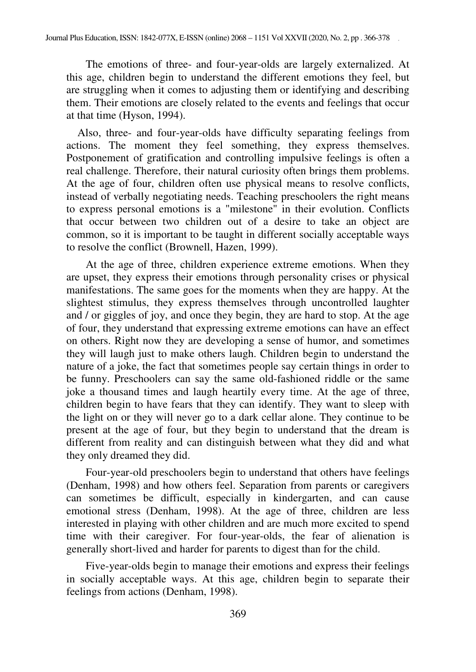The emotions of three- and four-year-olds are largely externalized. At this age, children begin to understand the different emotions they feel, but are struggling when it comes to adjusting them or identifying and describing them. Their emotions are closely related to the events and feelings that occur at that time (Hyson, 1994).

 Also, three- and four-year-olds have difficulty separating feelings from actions. The moment they feel something, they express themselves. Postponement of gratification and controlling impulsive feelings is often a real challenge. Therefore, their natural curiosity often brings them problems. At the age of four, children often use physical means to resolve conflicts, instead of verbally negotiating needs. Teaching preschoolers the right means to express personal emotions is a "milestone" in their evolution. Conflicts that occur between two children out of a desire to take an object are common, so it is important to be taught in different socially acceptable ways to resolve the conflict (Brownell, Hazen, 1999).

At the age of three, children experience extreme emotions. When they are upset, they express their emotions through personality crises or physical manifestations. The same goes for the moments when they are happy. At the slightest stimulus, they express themselves through uncontrolled laughter and / or giggles of joy, and once they begin, they are hard to stop. At the age of four, they understand that expressing extreme emotions can have an effect on others. Right now they are developing a sense of humor, and sometimes they will laugh just to make others laugh. Children begin to understand the nature of a joke, the fact that sometimes people say certain things in order to be funny. Preschoolers can say the same old-fashioned riddle or the same joke a thousand times and laugh heartily every time. At the age of three, children begin to have fears that they can identify. They want to sleep with the light on or they will never go to a dark cellar alone. They continue to be present at the age of four, but they begin to understand that the dream is different from reality and can distinguish between what they did and what they only dreamed they did.

Four-year-old preschoolers begin to understand that others have feelings (Denham, 1998) and how others feel. Separation from parents or caregivers can sometimes be difficult, especially in kindergarten, and can cause emotional stress (Denham, 1998). At the age of three, children are less interested in playing with other children and are much more excited to spend time with their caregiver. For four-year-olds, the fear of alienation is generally short-lived and harder for parents to digest than for the child.

Five-year-olds begin to manage their emotions and express their feelings in socially acceptable ways. At this age, children begin to separate their feelings from actions (Denham, 1998).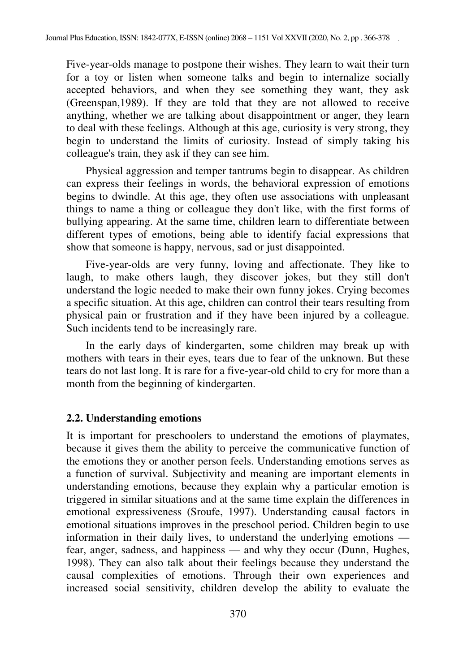Five-year-olds manage to postpone their wishes. They learn to wait their turn for a toy or listen when someone talks and begin to internalize socially accepted behaviors, and when they see something they want, they ask (Greenspan,1989). If they are told that they are not allowed to receive anything, whether we are talking about disappointment or anger, they learn to deal with these feelings. Although at this age, curiosity is very strong, they begin to understand the limits of curiosity. Instead of simply taking his colleague's train, they ask if they can see him.

Physical aggression and temper tantrums begin to disappear. As children can express their feelings in words, the behavioral expression of emotions begins to dwindle. At this age, they often use associations with unpleasant things to name a thing or colleague they don't like, with the first forms of bullying appearing. At the same time, children learn to differentiate between different types of emotions, being able to identify facial expressions that show that someone is happy, nervous, sad or just disappointed.

Five-year-olds are very funny, loving and affectionate. They like to laugh, to make others laugh, they discover jokes, but they still don't understand the logic needed to make their own funny jokes. Crying becomes a specific situation. At this age, children can control their tears resulting from physical pain or frustration and if they have been injured by a colleague. Such incidents tend to be increasingly rare.

In the early days of kindergarten, some children may break up with mothers with tears in their eyes, tears due to fear of the unknown. But these tears do not last long. It is rare for a five-year-old child to cry for more than a month from the beginning of kindergarten.

#### **2.2. Understanding emotions**

It is important for preschoolers to understand the emotions of playmates, because it gives them the ability to perceive the communicative function of the emotions they or another person feels. Understanding emotions serves as a function of survival. Subjectivity and meaning are important elements in understanding emotions, because they explain why a particular emotion is triggered in similar situations and at the same time explain the differences in emotional expressiveness (Sroufe, 1997). Understanding causal factors in emotional situations improves in the preschool period. Children begin to use information in their daily lives, to understand the underlying emotions fear, anger, sadness, and happiness — and why they occur (Dunn, Hughes, 1998). They can also talk about their feelings because they understand the causal complexities of emotions. Through their own experiences and increased social sensitivity, children develop the ability to evaluate the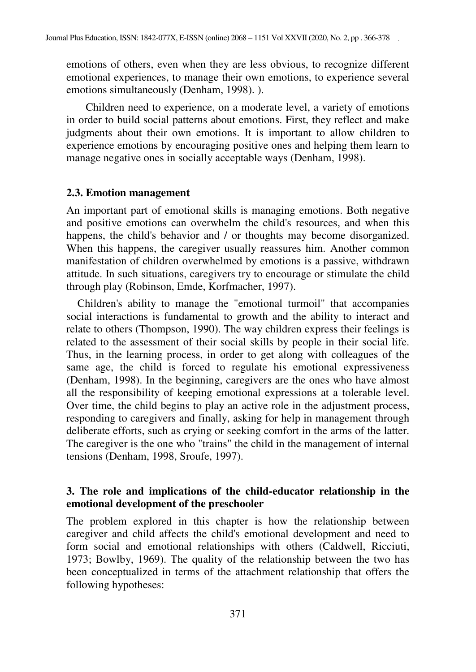emotions of others, even when they are less obvious, to recognize different emotional experiences, to manage their own emotions, to experience several emotions simultaneously (Denham, 1998). ).

Children need to experience, on a moderate level, a variety of emotions in order to build social patterns about emotions. First, they reflect and make judgments about their own emotions. It is important to allow children to experience emotions by encouraging positive ones and helping them learn to manage negative ones in socially acceptable ways (Denham, 1998).

#### **2.3. Emotion management**

An important part of emotional skills is managing emotions. Both negative and positive emotions can overwhelm the child's resources, and when this happens, the child's behavior and / or thoughts may become disorganized. When this happens, the caregiver usually reassures him. Another common manifestation of children overwhelmed by emotions is a passive, withdrawn attitude. In such situations, caregivers try to encourage or stimulate the child through play (Robinson, Emde, Korfmacher, 1997).

 Children's ability to manage the "emotional turmoil" that accompanies social interactions is fundamental to growth and the ability to interact and relate to others (Thompson, 1990). The way children express their feelings is related to the assessment of their social skills by people in their social life. Thus, in the learning process, in order to get along with colleagues of the same age, the child is forced to regulate his emotional expressiveness (Denham, 1998). In the beginning, caregivers are the ones who have almost all the responsibility of keeping emotional expressions at a tolerable level. Over time, the child begins to play an active role in the adjustment process, responding to caregivers and finally, asking for help in management through deliberate efforts, such as crying or seeking comfort in the arms of the latter. The caregiver is the one who "trains" the child in the management of internal tensions (Denham, 1998, Sroufe, 1997).

## **3. The role and implications of the child-educator relationship in the emotional development of the preschooler**

The problem explored in this chapter is how the relationship between caregiver and child affects the child's emotional development and need to form social and emotional relationships with others (Caldwell, Ricciuti, 1973; Bowlby, 1969). The quality of the relationship between the two has been conceptualized in terms of the attachment relationship that offers the following hypotheses: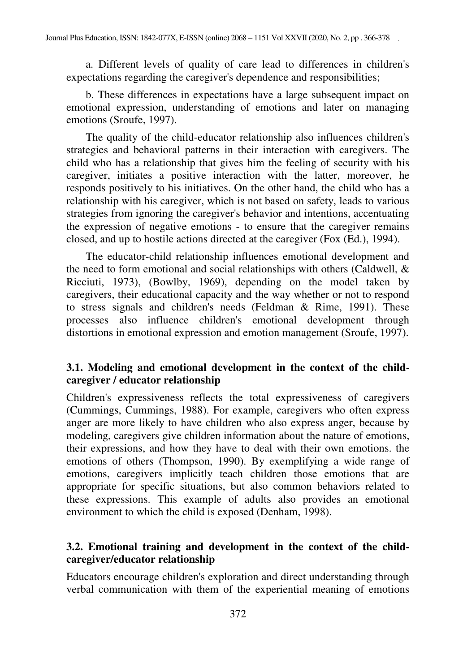a. Different levels of quality of care lead to differences in children's expectations regarding the caregiver's dependence and responsibilities;

b. These differences in expectations have a large subsequent impact on emotional expression, understanding of emotions and later on managing emotions (Sroufe, 1997).

The quality of the child-educator relationship also influences children's strategies and behavioral patterns in their interaction with caregivers. The child who has a relationship that gives him the feeling of security with his caregiver, initiates a positive interaction with the latter, moreover, he responds positively to his initiatives. On the other hand, the child who has a relationship with his caregiver, which is not based on safety, leads to various strategies from ignoring the caregiver's behavior and intentions, accentuating the expression of negative emotions - to ensure that the caregiver remains closed, and up to hostile actions directed at the caregiver (Fox (Ed.), 1994).

The educator-child relationship influences emotional development and the need to form emotional and social relationships with others (Caldwell, & Ricciuti, 1973), (Bowlby, 1969), depending on the model taken by caregivers, their educational capacity and the way whether or not to respond to stress signals and children's needs (Feldman & Rime, 1991). These processes also influence children's emotional development through distortions in emotional expression and emotion management (Sroufe, 1997).

# **3.1. Modeling and emotional development in the context of the childcaregiver / educator relationship**

Children's expressiveness reflects the total expressiveness of caregivers (Cummings, Cummings, 1988). For example, caregivers who often express anger are more likely to have children who also express anger, because by modeling, caregivers give children information about the nature of emotions, their expressions, and how they have to deal with their own emotions. the emotions of others (Thompson, 1990). By exemplifying a wide range of emotions, caregivers implicitly teach children those emotions that are appropriate for specific situations, but also common behaviors related to these expressions. This example of adults also provides an emotional environment to which the child is exposed (Denham, 1998).

# **3.2. Emotional training and development in the context of the childcaregiver/educator relationship**

Educators encourage children's exploration and direct understanding through verbal communication with them of the experiential meaning of emotions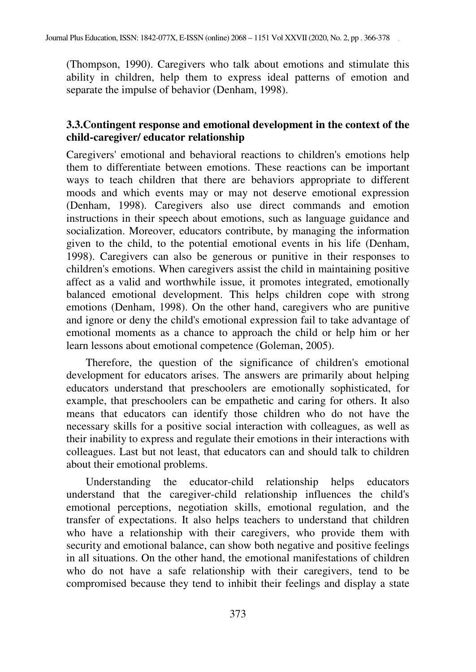(Thompson, 1990). Caregivers who talk about emotions and stimulate this ability in children, help them to express ideal patterns of emotion and separate the impulse of behavior (Denham, 1998).

## **3.3.Contingent response and emotional development in the context of the child-caregiver/ educator relationship**

Caregivers' emotional and behavioral reactions to children's emotions help them to differentiate between emotions. These reactions can be important ways to teach children that there are behaviors appropriate to different moods and which events may or may not deserve emotional expression (Denham, 1998). Caregivers also use direct commands and emotion instructions in their speech about emotions, such as language guidance and socialization. Moreover, educators contribute, by managing the information given to the child, to the potential emotional events in his life (Denham, 1998). Caregivers can also be generous or punitive in their responses to children's emotions. When caregivers assist the child in maintaining positive affect as a valid and worthwhile issue, it promotes integrated, emotionally balanced emotional development. This helps children cope with strong emotions (Denham, 1998). On the other hand, caregivers who are punitive and ignore or deny the child's emotional expression fail to take advantage of emotional moments as a chance to approach the child or help him or her learn lessons about emotional competence (Goleman, 2005).

Therefore, the question of the significance of children's emotional development for educators arises. The answers are primarily about helping educators understand that preschoolers are emotionally sophisticated, for example, that preschoolers can be empathetic and caring for others. It also means that educators can identify those children who do not have the necessary skills for a positive social interaction with colleagues, as well as their inability to express and regulate their emotions in their interactions with colleagues. Last but not least, that educators can and should talk to children about their emotional problems.

Understanding the educator-child relationship helps educators understand that the caregiver-child relationship influences the child's emotional perceptions, negotiation skills, emotional regulation, and the transfer of expectations. It also helps teachers to understand that children who have a relationship with their caregivers, who provide them with security and emotional balance, can show both negative and positive feelings in all situations. On the other hand, the emotional manifestations of children who do not have a safe relationship with their caregivers, tend to be compromised because they tend to inhibit their feelings and display a state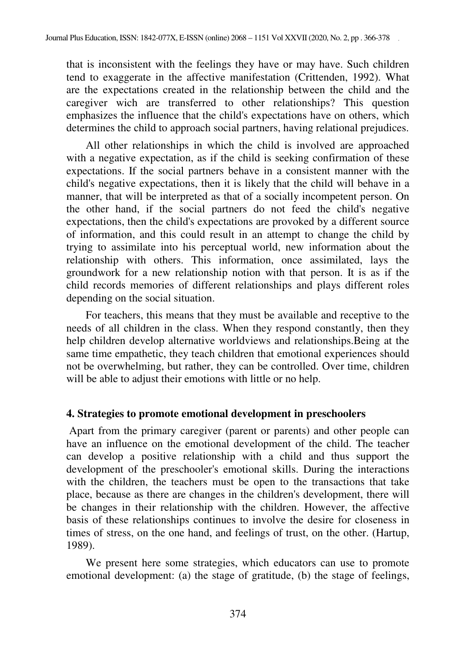that is inconsistent with the feelings they have or may have. Such children tend to exaggerate in the affective manifestation (Crittenden, 1992). What are the expectations created in the relationship between the child and the caregiver wich are transferred to other relationships? This question emphasizes the influence that the child's expectations have on others, which determines the child to approach social partners, having relational prejudices.

All other relationships in which the child is involved are approached with a negative expectation, as if the child is seeking confirmation of these expectations. If the social partners behave in a consistent manner with the child's negative expectations, then it is likely that the child will behave in a manner, that will be interpreted as that of a socially incompetent person. On the other hand, if the social partners do not feed the child's negative expectations, then the child's expectations are provoked by a different source of information, and this could result in an attempt to change the child by trying to assimilate into his perceptual world, new information about the relationship with others. This information, once assimilated, lays the groundwork for a new relationship notion with that person. It is as if the child records memories of different relationships and plays different roles depending on the social situation.

For teachers, this means that they must be available and receptive to the needs of all children in the class. When they respond constantly, then they help children develop alternative worldviews and relationships.Being at the same time empathetic, they teach children that emotional experiences should not be overwhelming, but rather, they can be controlled. Over time, children will be able to adjust their emotions with little or no help.

# **4. Strategies to promote emotional development in preschoolers**

 Apart from the primary caregiver (parent or parents) and other people can have an influence on the emotional development of the child. The teacher can develop a positive relationship with a child and thus support the development of the preschooler's emotional skills. During the interactions with the children, the teachers must be open to the transactions that take place, because as there are changes in the children's development, there will be changes in their relationship with the children. However, the affective basis of these relationships continues to involve the desire for closeness in times of stress, on the one hand, and feelings of trust, on the other. (Hartup, 1989).

We present here some strategies, which educators can use to promote emotional development: (a) the stage of gratitude, (b) the stage of feelings,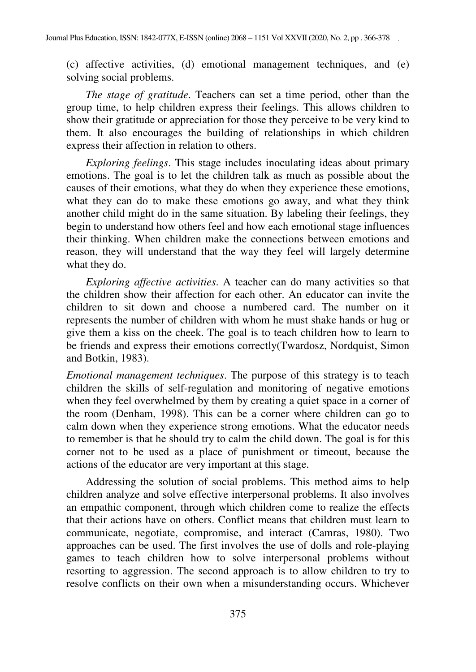(c) affective activities, (d) emotional management techniques, and (e) solving social problems.

*The stage of gratitude*. Teachers can set a time period, other than the group time, to help children express their feelings. This allows children to show their gratitude or appreciation for those they perceive to be very kind to them. It also encourages the building of relationships in which children express their affection in relation to others.

*Exploring feelings*. This stage includes inoculating ideas about primary emotions. The goal is to let the children talk as much as possible about the causes of their emotions, what they do when they experience these emotions, what they can do to make these emotions go away, and what they think another child might do in the same situation. By labeling their feelings, they begin to understand how others feel and how each emotional stage influences their thinking. When children make the connections between emotions and reason, they will understand that the way they feel will largely determine what they do.

*Exploring affective activities*. A teacher can do many activities so that the children show their affection for each other. An educator can invite the children to sit down and choose a numbered card. The number on it represents the number of children with whom he must shake hands or hug or give them a kiss on the cheek. The goal is to teach children how to learn to be friends and express their emotions correctly(Twardosz, Nordquist, Simon and Botkin, 1983).

*Emotional management techniques*. The purpose of this strategy is to teach children the skills of self-regulation and monitoring of negative emotions when they feel overwhelmed by them by creating a quiet space in a corner of the room (Denham, 1998). This can be a corner where children can go to calm down when they experience strong emotions. What the educator needs to remember is that he should try to calm the child down. The goal is for this corner not to be used as a place of punishment or timeout, because the actions of the educator are very important at this stage.

Addressing the solution of social problems. This method aims to help children analyze and solve effective interpersonal problems. It also involves an empathic component, through which children come to realize the effects that their actions have on others. Conflict means that children must learn to communicate, negotiate, compromise, and interact (Camras, 1980). Two approaches can be used. The first involves the use of dolls and role-playing games to teach children how to solve interpersonal problems without resorting to aggression. The second approach is to allow children to try to resolve conflicts on their own when a misunderstanding occurs. Whichever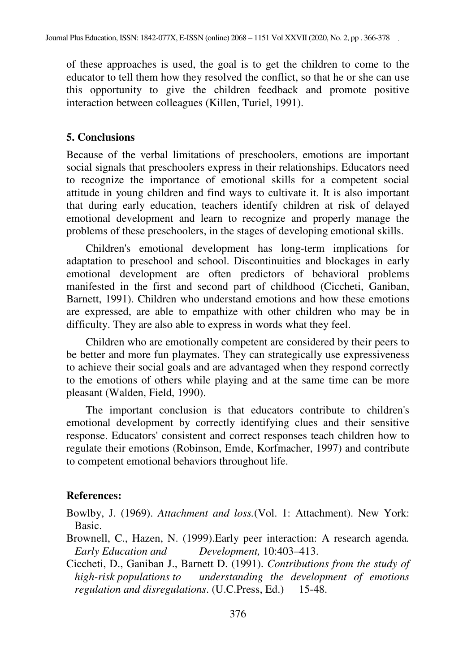of these approaches is used, the goal is to get the children to come to the educator to tell them how they resolved the conflict, so that he or she can use this opportunity to give the children feedback and promote positive interaction between colleagues (Killen, Turiel, 1991).

#### **5. Conclusions**

Because of the verbal limitations of preschoolers, emotions are important social signals that preschoolers express in their relationships. Educators need to recognize the importance of emotional skills for a competent social attitude in young children and find ways to cultivate it. It is also important that during early education, teachers identify children at risk of delayed emotional development and learn to recognize and properly manage the problems of these preschoolers, in the stages of developing emotional skills.

Children's emotional development has long-term implications for adaptation to preschool and school. Discontinuities and blockages in early emotional development are often predictors of behavioral problems manifested in the first and second part of childhood (Ciccheti, Ganiban, Barnett, 1991). Children who understand emotions and how these emotions are expressed, are able to empathize with other children who may be in difficulty. They are also able to express in words what they feel.

Children who are emotionally competent are considered by their peers to be better and more fun playmates. They can strategically use expressiveness to achieve their social goals and are advantaged when they respond correctly to the emotions of others while playing and at the same time can be more pleasant (Walden, Field, 1990).

The important conclusion is that educators contribute to children's emotional development by correctly identifying clues and their sensitive response. Educators' consistent and correct responses teach children how to regulate their emotions (Robinson, Emde, Korfmacher, 1997) and contribute to competent emotional behaviors throughout life.

#### **References:**

Bowlby, J. (1969). *Attachment and loss.*(Vol. 1: Attachment). New York: Basic.

- Brownell, C., Hazen, N. (1999).Early peer interaction: A research agenda*. Early Education and Development,* 10:403–413.
- Ciccheti, D., Ganiban J., Barnett D. (1991). *Contributions from the study of high-risk populations to understanding the development of emotions regulation and disregulations*. (U.C.Press, Ed.) 15-48.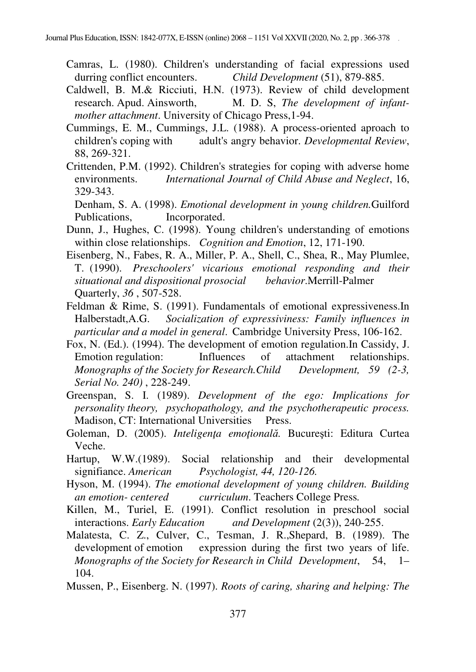- Camras, L. (1980). Children's understanding of facial expressions used durring conflict encounters. *Child Development* (51), 879-885.
- Caldwell, B. M.& Ricciuti, H.N. (1973). Review of child development research. Apud. Ainsworth, M. D. S, *The development of infantmother attachment*. University of Chicago Press,1-94.
- Cummings, E. M., Cummings, J.L. (1988). A process-oriented aproach to children's coping with adult's angry behavior. *Developmental Review*, 88, 269-321.
- Crittenden, P.M. (1992). Children's strategies for coping with adverse home environments. *International Journal of Child Abuse and Neglect*, 16, 329-343.

Denham, S. A. (1998). *Emotional development in young children.*Guilford Publications, Incorporated.

- Dunn, J., Hughes, C. (1998). Young children's understanding of emotions within close relationships. *Cognition and Emotion*, 12, 171-190.
- Eisenberg, N., Fabes, R. A., Miller, P. A., Shell, C., Shea, R., May Plumlee, T. (1990). *Preschoolers' vicarious emotional responding and their situational and dispositional prosocial behavior*.Merrill-Palmer Quarterly, *36* , 507-528.
- Feldman & Rime, S. (1991). Fundamentals of emotional expressiveness.In Halberstadt,A.G. *Socialization of expressiviness: Family influences in particular and a model in general*. Cambridge University Press, 106-162.
- Fox, N. (Ed.). (1994). The development of emotion regulation.In Cassidy, J. Emotion regulation: Influences of attachment relationships. *Monographs of the Society for Research.Child Development, 59 (2-3, Serial No. 240)* , 228-249.
- Greenspan, S. I. (1989). *Development of the ego: Implications for personality theory, psychopathology, and the psychotherapeutic process.* Madison, CT: International Universities Press.
- Goleman, D. (2005). *Inteligenţa emoţională.* Bucureşti: Editura Curtea Veche.
- Hartup, W.W.(1989). Social relationship and their developmental signifiance. *American Psychologist, 44, 120-126.*
- Hyson, M. (1994). *The emotional development of young children. Building an emotion- centered curriculum*. Teachers College Press*.*
- Killen, M., Turiel, E. (1991). Conflict resolution in preschool social interactions. *Early Education and Development* (2(3)), 240-255.
- Malatesta, C. Z., Culver, C., Tesman, J. R.,Shepard, B. (1989). The development of emotion expression during the first two years of life. *Monographs of the Society for Research in Child Development*, 54, 1– 104.
- Mussen, P., Eisenberg. N. (1997). *Roots of caring, sharing and helping: The*